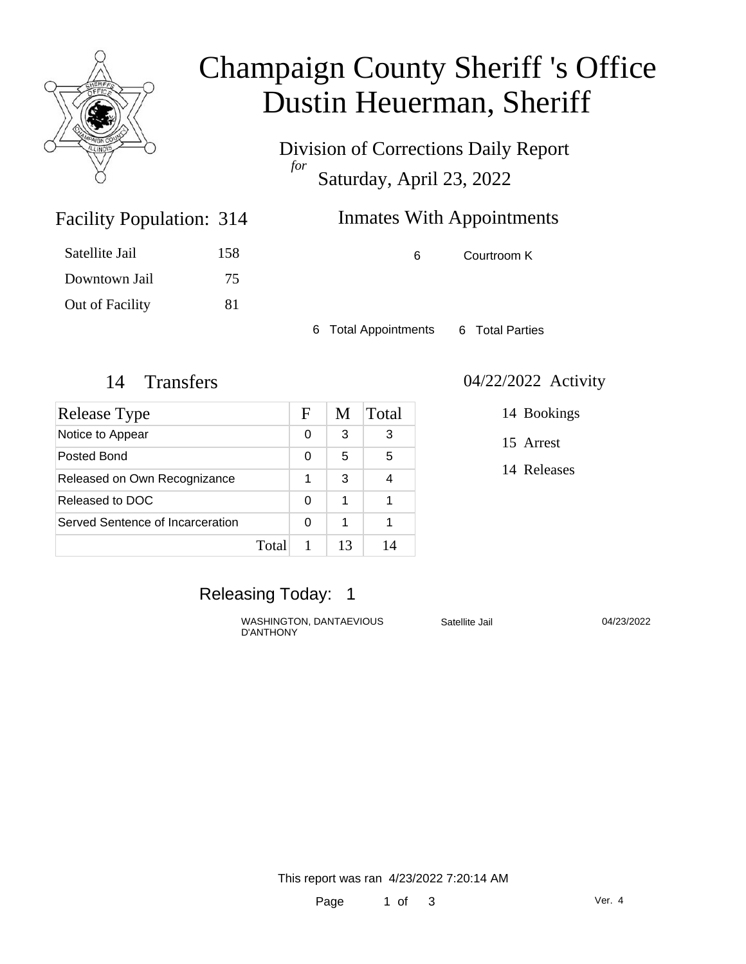

# Champaign County Sheriff 's Office Dustin Heuerman, Sheriff

Division of Corrections Daily Report *for* Saturday, April 23, 2022

## Inmates With Appointments

Facility Population: 314

| Satellite Jail  | 158 |
|-----------------|-----|
| Downtown Jail   | 75  |
| Out of Facility | 81  |

6 Courtroom K

6 Total Appointments 6 Total Parties

| Release Type                     |       | F | M  | Total |
|----------------------------------|-------|---|----|-------|
| Notice to Appear                 |       | 0 | 3  | 3     |
| Posted Bond                      |       | 0 | 5  | 5     |
| Released on Own Recognizance     |       | 1 | 3  |       |
| Released to DOC                  |       | 0 | 1  |       |
| Served Sentence of Incarceration |       | 0 | 1  |       |
|                                  | Total |   | 13 | 14    |

#### 14 Transfers 04/22/2022 Activity

14 Bookings

15 Arrest

14 Releases

### Releasing Today: 1

WASHINGTON, DANTAEVIOUS Satellite Jail D'ANTHONY

04/23/2022

This report was ran 4/23/2022 7:20:14 AM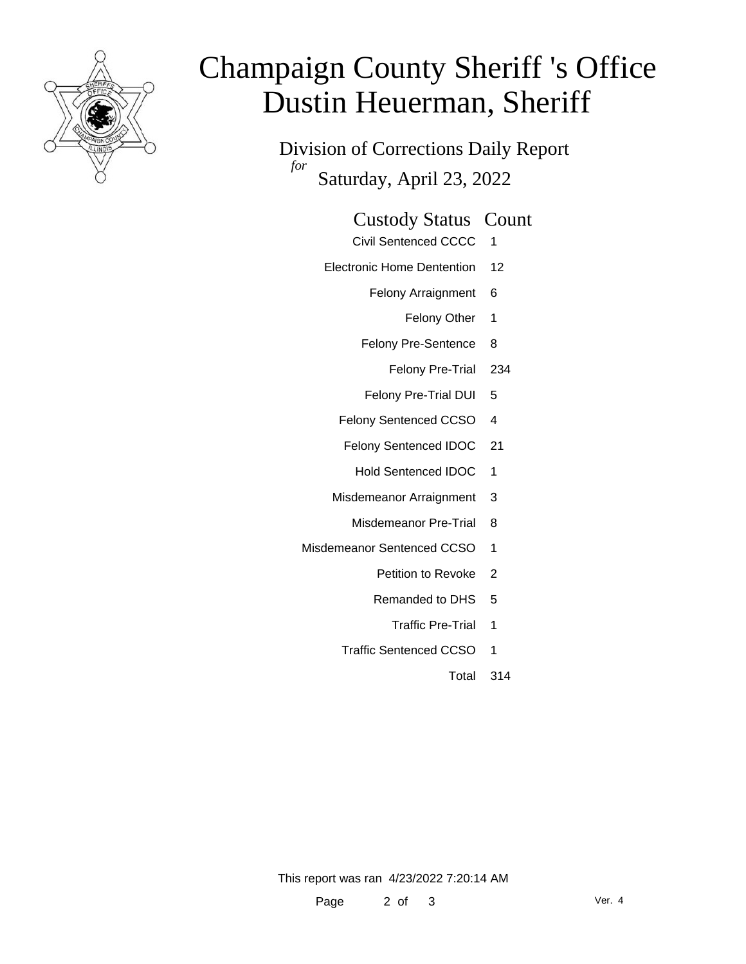

# Champaign County Sheriff 's Office Dustin Heuerman, Sheriff

Division of Corrections Daily Report *for* Saturday, April 23, 2022

#### Custody Status Count

- Civil Sentenced CCCC 1
- Electronic Home Dentention 12
	- Felony Arraignment 6
		- Felony Other 1
	- Felony Pre-Sentence 8
		- Felony Pre-Trial 234
	- Felony Pre-Trial DUI 5
	- Felony Sentenced CCSO 4
	- Felony Sentenced IDOC 21
		- Hold Sentenced IDOC 1
	- Misdemeanor Arraignment 3
		- Misdemeanor Pre-Trial 8
- Misdemeanor Sentenced CCSO 1
	- Petition to Revoke 2
	- Remanded to DHS 5
		- Traffic Pre-Trial 1
	- Traffic Sentenced CCSO 1
		- Total 314